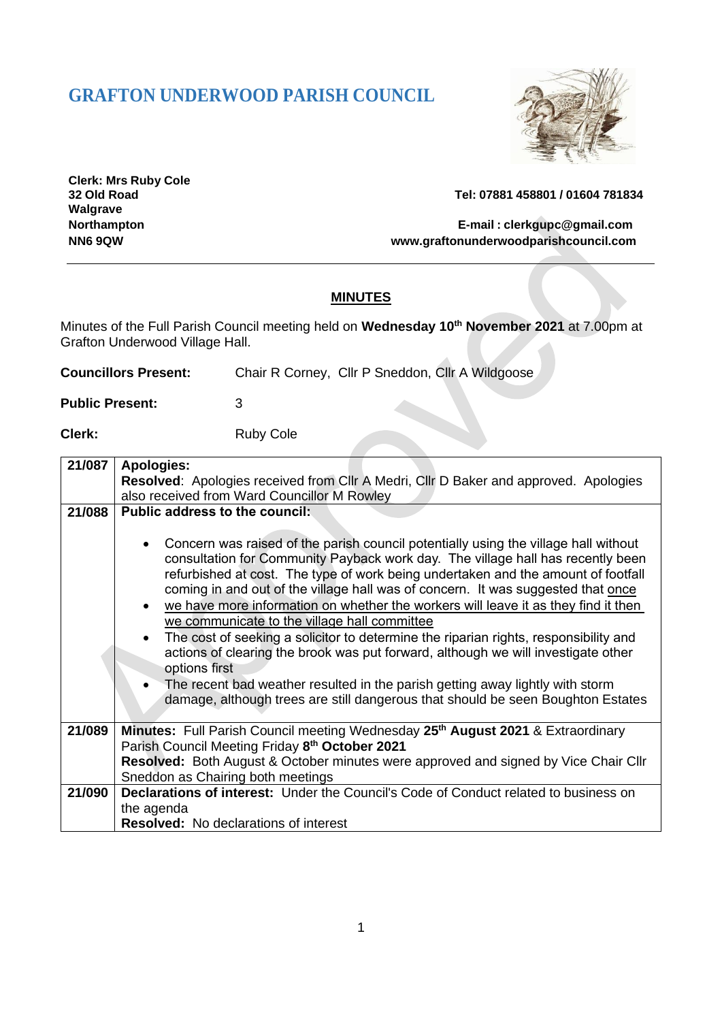# **GRAFTON UNDERWOOD PARISH COUNCIL**



**Clerk: Mrs Ruby Cole Walgrave**

**32 Old Road Tel: 07881 458801 / 01604 781834**

**Northampton E-mail : [clerkgupc@gmail.com](mailto:clerkgupc@gmail.com) NN6 9QW [www.graftonunderwoodparishcouncil.com](http://www.graftonunderwoodparishcouncil.com/)**

#### **MINUTES**

Minutes of the Full Parish Council meeting held on **Wednesday 10th November 2021** at 7.00pm at Grafton Underwood Village Hall.

| <b>Councillors Present:</b> | Chair R Corney, Cllr P Sneddon, Cllr A Wildgoose |  |  |
|-----------------------------|--------------------------------------------------|--|--|
|                             |                                                  |  |  |

**Public Present:** 3

**Clerk:** Ruby Cole

| 21/087 | <b>Apologies:</b>                                                                                                                                                                                                                                                                                                                                                                                                                                                                                                                                                                                                                                                                                                          |  |  |
|--------|----------------------------------------------------------------------------------------------------------------------------------------------------------------------------------------------------------------------------------------------------------------------------------------------------------------------------------------------------------------------------------------------------------------------------------------------------------------------------------------------------------------------------------------------------------------------------------------------------------------------------------------------------------------------------------------------------------------------------|--|--|
|        | Resolved: Apologies received from Cllr A Medri, Cllr D Baker and approved. Apologies                                                                                                                                                                                                                                                                                                                                                                                                                                                                                                                                                                                                                                       |  |  |
|        | also received from Ward Councillor M Rowley                                                                                                                                                                                                                                                                                                                                                                                                                                                                                                                                                                                                                                                                                |  |  |
| 21/088 | Public address to the council:                                                                                                                                                                                                                                                                                                                                                                                                                                                                                                                                                                                                                                                                                             |  |  |
|        |                                                                                                                                                                                                                                                                                                                                                                                                                                                                                                                                                                                                                                                                                                                            |  |  |
|        | Concern was raised of the parish council potentially using the village hall without<br>$\bullet$<br>consultation for Community Payback work day. The village hall has recently been<br>refurbished at cost. The type of work being undertaken and the amount of footfall<br>coming in and out of the village hall was of concern. It was suggested that once<br>we have more information on whether the workers will leave it as they find it then<br>$\bullet$<br>we communicate to the village hall committee<br>The cost of seeking a solicitor to determine the riparian rights, responsibility and<br>$\bullet$<br>actions of clearing the brook was put forward, although we will investigate other<br>options first |  |  |
|        | The recent bad weather resulted in the parish getting away lightly with storm<br>$\bullet$                                                                                                                                                                                                                                                                                                                                                                                                                                                                                                                                                                                                                                 |  |  |
|        | damage, although trees are still dangerous that should be seen Boughton Estates                                                                                                                                                                                                                                                                                                                                                                                                                                                                                                                                                                                                                                            |  |  |
| 21/089 | <b>Minutes:</b> Full Parish Council meeting Wednesday 25 <sup>th</sup> August 2021 & Extraordinary                                                                                                                                                                                                                                                                                                                                                                                                                                                                                                                                                                                                                         |  |  |
|        | Parish Council Meeting Friday 8th October 2021                                                                                                                                                                                                                                                                                                                                                                                                                                                                                                                                                                                                                                                                             |  |  |
|        | Resolved: Both August & October minutes were approved and signed by Vice Chair Cllr                                                                                                                                                                                                                                                                                                                                                                                                                                                                                                                                                                                                                                        |  |  |
|        | Sneddon as Chairing both meetings                                                                                                                                                                                                                                                                                                                                                                                                                                                                                                                                                                                                                                                                                          |  |  |
| 21/090 | Declarations of interest: Under the Council's Code of Conduct related to business on                                                                                                                                                                                                                                                                                                                                                                                                                                                                                                                                                                                                                                       |  |  |
|        | the agenda                                                                                                                                                                                                                                                                                                                                                                                                                                                                                                                                                                                                                                                                                                                 |  |  |
|        | <b>Resolved:</b> No declarations of interest                                                                                                                                                                                                                                                                                                                                                                                                                                                                                                                                                                                                                                                                               |  |  |
|        |                                                                                                                                                                                                                                                                                                                                                                                                                                                                                                                                                                                                                                                                                                                            |  |  |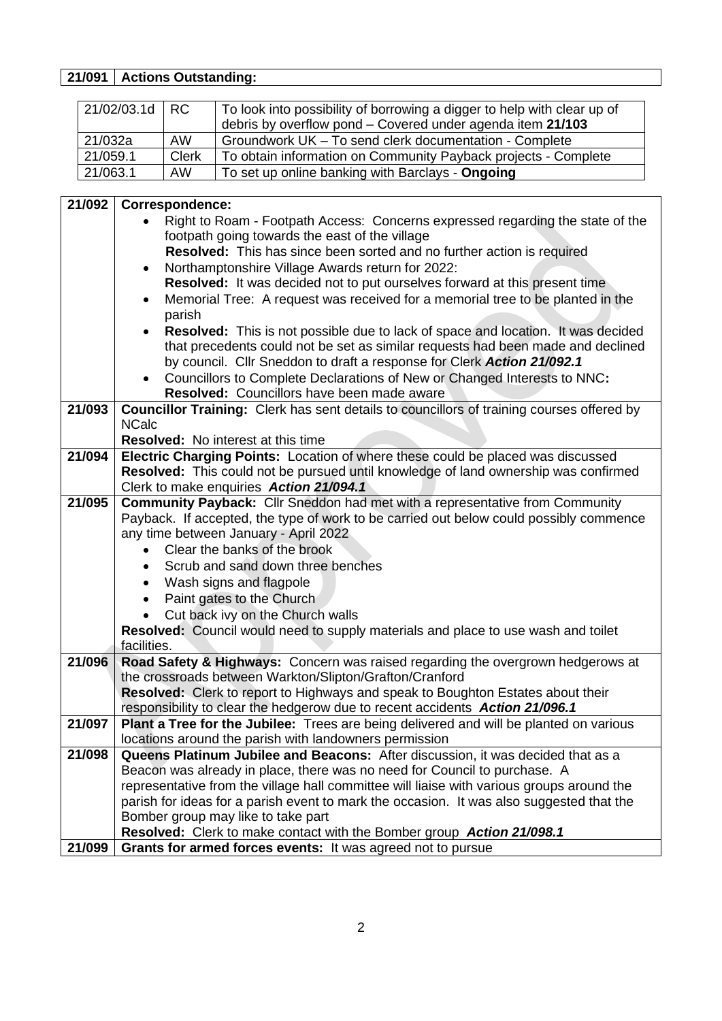### **21/091 Actions Outstanding:**

| 21/02/03.1d | I RC         | To look into possibility of borrowing a digger to help with clear up of<br>debris by overflow pond - Covered under agenda item 21/103 |
|-------------|--------------|---------------------------------------------------------------------------------------------------------------------------------------|
| 21/032a     | AW           | Groundwork UK - To send clerk documentation - Complete                                                                                |
| 21/059.1    | <b>Clerk</b> | To obtain information on Community Payback projects - Complete                                                                        |
| 21/063.1    | <b>AW</b>    | To set up online banking with Barclays - Ongoing                                                                                      |

| 21/092 | <b>Correspondence:</b>                                                                                                                     |  |  |  |
|--------|--------------------------------------------------------------------------------------------------------------------------------------------|--|--|--|
|        | Right to Roam - Footpath Access: Concerns expressed regarding the state of the                                                             |  |  |  |
|        | footpath going towards the east of the village                                                                                             |  |  |  |
|        | <b>Resolved:</b> This has since been sorted and no further action is required                                                              |  |  |  |
|        | Northamptonshire Village Awards return for 2022:                                                                                           |  |  |  |
|        | <b>Resolved:</b> It was decided not to put ourselves forward at this present time                                                          |  |  |  |
|        | Memorial Tree: A request was received for a memorial tree to be planted in the<br>$\bullet$                                                |  |  |  |
|        | parish                                                                                                                                     |  |  |  |
|        | Resolved: This is not possible due to lack of space and location. It was decided                                                           |  |  |  |
|        | that precedents could not be set as similar requests had been made and declined                                                            |  |  |  |
|        | by council. Cllr Sneddon to draft a response for Clerk Action 21/092.1                                                                     |  |  |  |
|        | Councillors to Complete Declarations of New or Changed Interests to NNC:                                                                   |  |  |  |
|        | Resolved: Councillors have been made aware                                                                                                 |  |  |  |
| 21/093 | Councillor Training: Clerk has sent details to councillors of training courses offered by                                                  |  |  |  |
|        | <b>NCalc</b>                                                                                                                               |  |  |  |
|        | <b>Resolved:</b> No interest at this time                                                                                                  |  |  |  |
| 21/094 | Electric Charging Points: Location of where these could be placed was discussed                                                            |  |  |  |
|        | Resolved: This could not be pursued until knowledge of land ownership was confirmed                                                        |  |  |  |
|        | Clerk to make enquiries Action 21/094.1                                                                                                    |  |  |  |
| 21/095 | <b>Community Payback:</b> Cllr Sneddon had met with a representative from Community                                                        |  |  |  |
|        | Payback. If accepted, the type of work to be carried out below could possibly commence                                                     |  |  |  |
|        | any time between January - April 2022                                                                                                      |  |  |  |
|        | Clear the banks of the brook                                                                                                               |  |  |  |
|        | Scrub and sand down three benches                                                                                                          |  |  |  |
|        | Wash signs and flagpole                                                                                                                    |  |  |  |
|        | Paint gates to the Church<br>$\bullet$                                                                                                     |  |  |  |
|        | Cut back ivy on the Church walls                                                                                                           |  |  |  |
|        | Resolved: Council would need to supply materials and place to use wash and toilet                                                          |  |  |  |
| 21/096 | facilities.                                                                                                                                |  |  |  |
|        | Road Safety & Highways: Concern was raised regarding the overgrown hedgerows at<br>the crossroads between Warkton/Slipton/Grafton/Cranford |  |  |  |
|        | Resolved: Clerk to report to Highways and speak to Boughton Estates about their                                                            |  |  |  |
|        | responsibility to clear the hedgerow due to recent accidents Action 21/096.1                                                               |  |  |  |
| 21/097 | Plant a Tree for the Jubilee: Trees are being delivered and will be planted on various                                                     |  |  |  |
|        | locations around the parish with landowners permission                                                                                     |  |  |  |
| 21/098 | <b>Queens Platinum Jubilee and Beacons:</b> After discussion, it was decided that as a                                                     |  |  |  |
|        | Beacon was already in place, there was no need for Council to purchase. A                                                                  |  |  |  |
|        | representative from the village hall committee will liaise with various groups around the                                                  |  |  |  |
|        | parish for ideas for a parish event to mark the occasion. It was also suggested that the                                                   |  |  |  |
|        | Bomber group may like to take part                                                                                                         |  |  |  |
|        | Resolved: Clerk to make contact with the Bomber group Action 21/098.1                                                                      |  |  |  |
| 21/099 | Grants for armed forces events: It was agreed not to pursue                                                                                |  |  |  |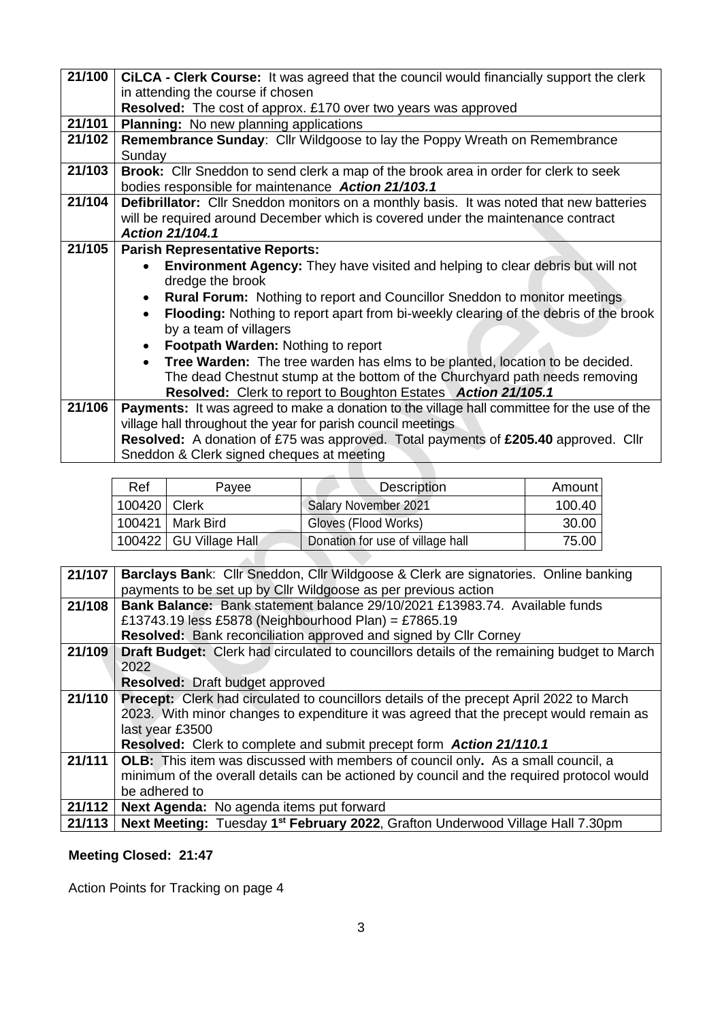| 21/100 | CILCA - Clerk Course: It was agreed that the council would financially support the clerk           |  |  |
|--------|----------------------------------------------------------------------------------------------------|--|--|
|        | in attending the course if chosen                                                                  |  |  |
|        | Resolved: The cost of approx. £170 over two years was approved                                     |  |  |
| 21/101 | <b>Planning:</b> No new planning applications                                                      |  |  |
| 21/102 | <b>Remembrance Sunday: Cllr Wildgoose to lay the Poppy Wreath on Remembrance</b>                   |  |  |
|        | Sunday                                                                                             |  |  |
| 21/103 | <b>Brook:</b> Cllr Sneddon to send clerk a map of the brook area in order for clerk to seek        |  |  |
|        | bodies responsible for maintenance Action 21/103.1                                                 |  |  |
| 21/104 | <b>Defibrillator:</b> Cllr Sneddon monitors on a monthly basis. It was noted that new batteries    |  |  |
|        | will be required around December which is covered under the maintenance contract                   |  |  |
|        | <b>Action 21/104.1</b>                                                                             |  |  |
| 21/105 | <b>Parish Representative Reports:</b>                                                              |  |  |
|        | <b>Environment Agency:</b> They have visited and helping to clear debris but will not              |  |  |
|        | dredge the brook                                                                                   |  |  |
|        | <b>Rural Forum:</b> Nothing to report and Councillor Sneddon to monitor meetings<br>$\bullet$      |  |  |
|        | Flooding: Nothing to report apart from bi-weekly clearing of the debris of the brook<br>$\bullet$  |  |  |
|        | by a team of villagers                                                                             |  |  |
|        | <b>Footpath Warden: Nothing to report</b>                                                          |  |  |
|        | Tree Warden: The tree warden has elms to be planted, location to be decided.<br>$\bullet$          |  |  |
|        | The dead Chestnut stump at the bottom of the Churchyard path needs removing                        |  |  |
|        | Resolved: Clerk to report to Boughton Estates Action 21/105.1                                      |  |  |
| 21/106 | <b>Payments:</b> It was agreed to make a donation to the village hall committee for the use of the |  |  |
|        | village hall throughout the year for parish council meetings                                       |  |  |
|        | <b>Resolved:</b> A donation of £75 was approved. Total payments of £205.40 approved. Cllr          |  |  |
|        | Sneddon & Clerk signed cheques at meeting                                                          |  |  |

| Ref            | Payee                    | <b>Description</b>               | Amount |
|----------------|--------------------------|----------------------------------|--------|
| 100420   Clerk |                          | <b>Salary November 2021</b>      | 100.40 |
|                | 100421   Mark Bird       | Gloves (Flood Works)             | 30.00  |
|                | 100422   GU Village Hall | Donation for use of village hall | 75.00  |

| 21/107 | Barclays Bank: Cllr Sneddon, Cllr Wildgoose & Clerk are signatories. Online banking            |
|--------|------------------------------------------------------------------------------------------------|
|        | payments to be set up by Cllr Wildgoose as per previous action                                 |
| 21/108 | <b>Bank Balance:</b> Bank statement balance 29/10/2021 £13983.74. Available funds              |
|        | £13743.19 less £5878 (Neighbourhood Plan) = £7865.19                                           |
|        | Resolved: Bank reconciliation approved and signed by Cllr Corney                               |
| 21/109 | Draft Budget: Clerk had circulated to councillors details of the remaining budget to March     |
|        | 2022                                                                                           |
|        | <b>Resolved:</b> Draft budget approved                                                         |
| 21/110 | <b>Precept:</b> Clerk had circulated to councillors details of the precept April 2022 to March |
|        | 2023. With minor changes to expenditure it was agreed that the precept would remain as         |
|        | last year £3500                                                                                |
|        | <b>Resolved:</b> Clerk to complete and submit precept form <b>Action 21/110.1</b>              |
| 21/111 | <b>OLB:</b> This item was discussed with members of council only. As a small council, a        |
|        | minimum of the overall details can be actioned by council and the required protocol would      |
|        | be adhered to                                                                                  |
| 21/112 | Next Agenda: No agenda items put forward                                                       |
| 21/113 | Next Meeting: Tuesday 1 <sup>st</sup> February 2022, Grafton Underwood Village Hall 7.30pm     |

# **Meeting Closed: 21:47**

Action Points for Tracking on page 4